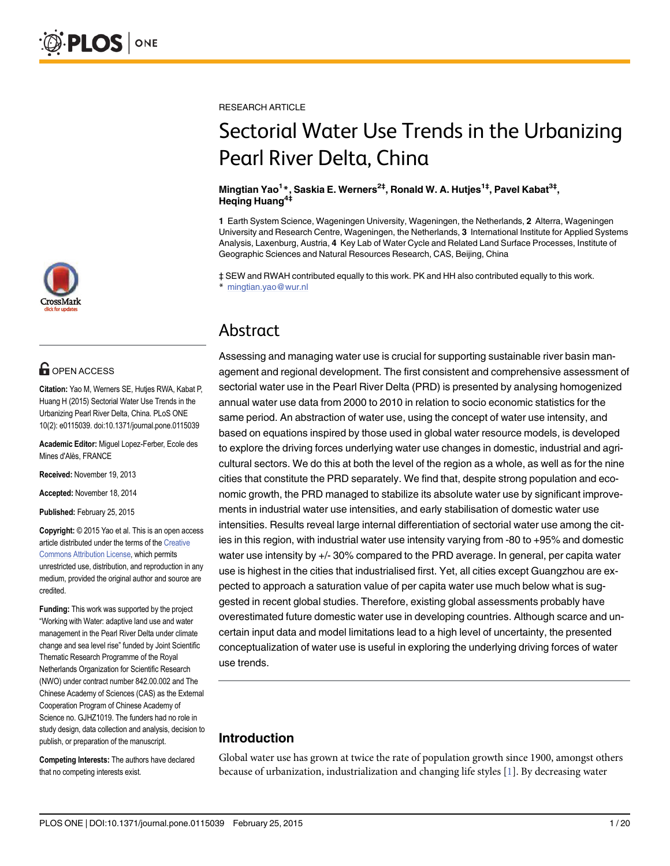

# **G** OPEN ACCESS

Citation: Yao M, Werners SE, Hutjes RWA, Kabat P, Huang H (2015) Sectorial Water Use Trends in the Urbanizing Pearl River Delta, China. PLoS ONE 10(2): e0115039. doi:10.1371/journal.pone.0115039

Academic Editor: Miguel Lopez-Ferber, Ecole des Mines d'Alès, FRANCE

Received: November 19, 2013

Accepted: November 18, 2014

Published: February 25, 2015

Copyright: © 2015 Yao et al. This is an open access article distributed under the terms of the [Creative](http://creativecommons.org/licenses/by/4.0/) [Commons Attribution License](http://creativecommons.org/licenses/by/4.0/), which permits unrestricted use, distribution, and reproduction in any medium, provided the original author and source are credited.

Funding: This work was supported by the project "Working with Water: adaptive land use and water management in the Pearl River Delta under climate change and sea level rise" funded by Joint Scientific Thematic Research Programme of the Royal Netherlands Organization for Scientific Research (NWO) under contract number 842.00.002 and The Chinese Academy of Sciences (CAS) as the External Cooperation Program of Chinese Academy of Science no. GJHZ1019. The funders had no role in study design, data collection and analysis, decision to publish, or preparation of the manuscript.

Competing Interests: The authors have declared that no competing interests exist.

<span id="page-0-0"></span>RESEARCH ARTICLE

# Sectorial Water Use Trends in the Urbanizing Pearl River Delta, China

Mingtian Yao<sup>1</sup>\*, Saskia E. Werners<sup>2‡</sup>, Ronald W. A. Hutjes<sup>1‡</sup>, Pavel Kabat<sup>3‡</sup>, Heqing Huang<sup>4‡</sup>

1 Earth System Science, Wageningen University, Wageningen, the Netherlands, 2 Alterra, Wageningen University and Research Centre, Wageningen, the Netherlands, 3 International Institute for Applied Systems Analysis, Laxenburg, Austria, 4 Key Lab of Water Cycle and Related Land Surface Processes, Institute of Geographic Sciences and Natural Resources Research, CAS, Beijing, China

‡ SEW and RWAH contributed equally to this work. PK and HH also contributed equally to this work. mingtian.yao@wur.nl

## Abstract

Assessing and managing water use is crucial for supporting sustainable river basin management and regional development. The first consistent and comprehensive assessment of sectorial water use in the Pearl River Delta (PRD) is presented by analysing homogenized annual water use data from 2000 to 2010 in relation to socio economic statistics for the same period. An abstraction of water use, using the concept of water use intensity, and based on equations inspired by those used in global water resource models, is developed to explore the driving forces underlying water use changes in domestic, industrial and agricultural sectors. We do this at both the level of the region as a whole, as well as for the nine cities that constitute the PRD separately. We find that, despite strong population and economic growth, the PRD managed to stabilize its absolute water use by significant improvements in industrial water use intensities, and early stabilisation of domestic water use intensities. Results reveal large internal differentiation of sectorial water use among the cities in this region, with industrial water use intensity varying from -80 to +95% and domestic water use intensity by +/- 30% compared to the PRD average. In general, per capita water use is highest in the cities that industrialised first. Yet, all cities except Guangzhou are expected to approach a saturation value of per capita water use much below what is suggested in recent global studies. Therefore, existing global assessments probably have overestimated future domestic water use in developing countries. Although scarce and uncertain input data and model limitations lead to a high level of uncertainty, the presented conceptualization of water use is useful in exploring the underlying driving forces of water use trends.

## Introduction

Global water use has grown at twice the rate of population growth since 1900, amongst others because of urbanization, industrialization and changing life styles  $[1]$  $[1]$  $[1]$ . By decreasing water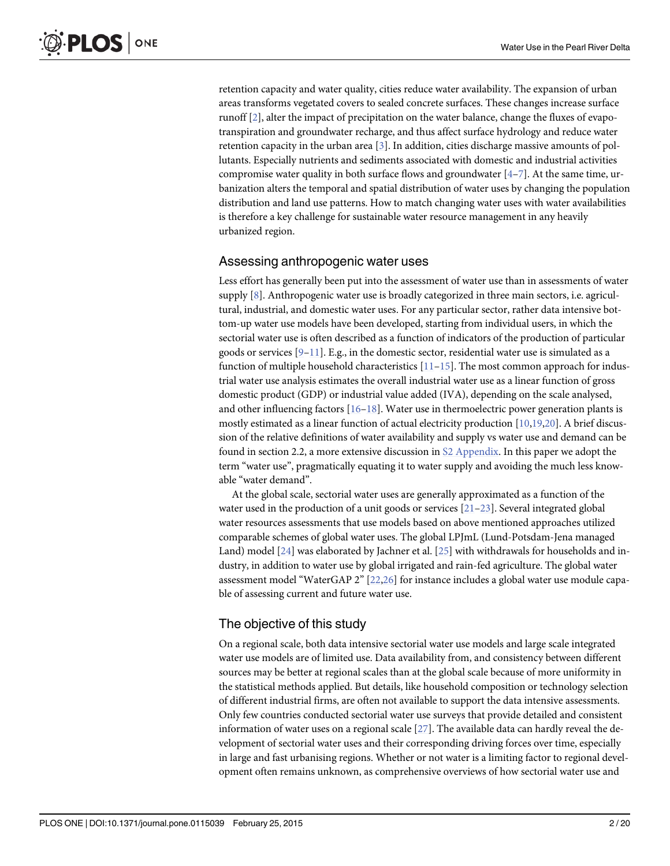<span id="page-1-0"></span>retention capacity and water quality, cities reduce water availability. The expansion of urban areas transforms vegetated covers to sealed concrete surfaces. These changes increase surface runoff [[2\]](#page-17-0), alter the impact of precipitation on the water balance, change the fluxes of evapotranspiration and groundwater recharge, and thus affect surface hydrology and reduce water retention capacity in the urban area [\[3](#page-17-0)]. In addition, cities discharge massive amounts of pollutants. Especially nutrients and sediments associated with domestic and industrial activities compromise water quality in both surface flows and groundwater  $[4-7]$  $[4-7]$  $[4-7]$  $[4-7]$ . At the same time, urbanization alters the temporal and spatial distribution of water uses by changing the population distribution and land use patterns. How to match changing water uses with water availabilities is therefore a key challenge for sustainable water resource management in any heavily urbanized region.

## Assessing anthropogenic water uses

Less effort has generally been put into the assessment of water use than in assessments of water supply [\[8\]](#page-17-0). Anthropogenic water use is broadly categorized in three main sectors, i.e. agricultural, industrial, and domestic water uses. For any particular sector, rather data intensive bottom-up water use models have been developed, starting from individual users, in which the sectorial water use is often described as a function of indicators of the production of particular goods or services  $[9-11]$  $[9-11]$  $[9-11]$  $[9-11]$  $[9-11]$ . E.g., in the domestic sector, residential water use is simulated as a function of multiple household characteristics  $[11–15]$  $[11–15]$  $[11–15]$ . The most common approach for industrial water use analysis estimates the overall industrial water use as a linear function of gross domestic product (GDP) or industrial value added (IVA), depending on the scale analysed, and other influencing factors  $[16–18]$  $[16–18]$  $[16–18]$ . Water use in thermoelectric power generation plants is mostly estimated as a linear function of actual electricity production  $[10,19,20]$  $[10,19,20]$ . A brief discussion of the relative definitions of water availability and supply vs water use and demand can be found in section 2.2, a more extensive discussion in [S2 Appendix.](#page-17-0) In this paper we adopt the term "water use", pragmatically equating it to water supply and avoiding the much less knowable "water demand".

At the global scale, sectorial water uses are generally approximated as a function of the water used in the production of a unit goods or services  $[21-23]$  $[21-23]$  $[21-23]$ . Several integrated global water resources assessments that use models based on above mentioned approaches utilized comparable schemes of global water uses. The global LPJmL (Lund-Potsdam-Jena managed Land) model [[24](#page-18-0)] was elaborated by Jachner et al. [[25](#page-18-0)] with withdrawals for households and industry, in addition to water use by global irrigated and rain-fed agriculture. The global water assessment model "WaterGAP 2" [\[22,26\]](#page-18-0) for instance includes a global water use module capable of assessing current and future water use.

## The objective of this study

On a regional scale, both data intensive sectorial water use models and large scale integrated water use models are of limited use. Data availability from, and consistency between different sources may be better at regional scales than at the global scale because of more uniformity in the statistical methods applied. But details, like household composition or technology selection of different industrial firms, are often not available to support the data intensive assessments. Only few countries conducted sectorial water use surveys that provide detailed and consistent information of water uses on a regional scale  $[27]$  $[27]$  $[27]$ . The available data can hardly reveal the development of sectorial water uses and their corresponding driving forces over time, especially in large and fast urbanising regions. Whether or not water is a limiting factor to regional development often remains unknown, as comprehensive overviews of how sectorial water use and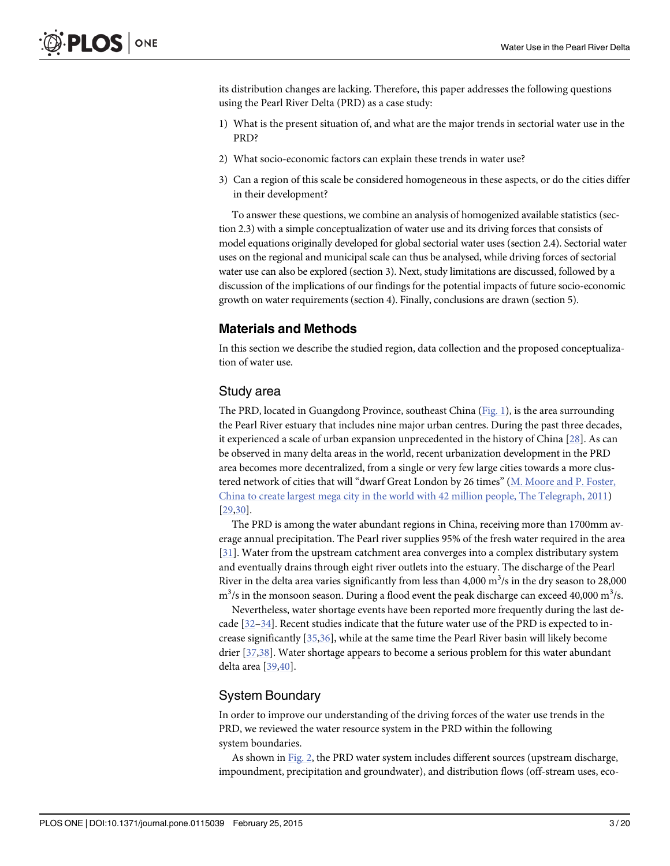<span id="page-2-0"></span>its distribution changes are lacking. Therefore, this paper addresses the following questions using the Pearl River Delta (PRD) as a case study:

- 1) What is the present situation of, and what are the major trends in sectorial water use in the PRD?
- 2) What socio-economic factors can explain these trends in water use?
- 3) Can a region of this scale be considered homogeneous in these aspects, or do the cities differ in their development?

To answer these questions, we combine an analysis of homogenized available statistics (section 2.3) with a simple conceptualization of water use and its driving forces that consists of model equations originally developed for global sectorial water uses (section 2.4). Sectorial water uses on the regional and municipal scale can thus be analysed, while driving forces of sectorial water use can also be explored (section 3). Next, study limitations are discussed, followed by a discussion of the implications of our findings for the potential impacts of future socio-economic growth on water requirements (section 4). Finally, conclusions are drawn (section 5).

## Materials and Methods

In this section we describe the studied region, data collection and the proposed conceptualization of water use.

## Study area

The PRD, located in Guangdong Province, southeast China ([Fig. 1](#page-3-0)), is the area surrounding the Pearl River estuary that includes nine major urban centres. During the past three decades, it experienced a scale of urban expansion unprecedented in the history of China [[28](#page-18-0)]. As can be observed in many delta areas in the world, recent urbanization development in the PRD area becomes more decentralized, from a single or very few large cities towards a more clustered network of cities that will "dwarf Great London by 26 times" ([M. Moore and P. Foster,](http://www.telegraph.co.uk/news/worldnews/asia/china/8278315/China-to-create-largest-mega-city-in-the-world-with-42-million-people.html) [China to create largest mega city in the world with 42 million people, The Telegraph, 2011\)](http://www.telegraph.co.uk/news/worldnews/asia/china/8278315/China-to-create-largest-mega-city-in-the-world-with-42-million-people.html) [\[29,30\]](#page-18-0).

The PRD is among the water abundant regions in China, receiving more than 1700mm average annual precipitation. The Pearl river supplies 95% of the fresh water required in the area [\[31](#page-18-0)]. Water from the upstream catchment area converges into a complex distributary system and eventually drains through eight river outlets into the estuary. The discharge of the Pearl River in the delta area varies significantly from less than 4,000  $\mathrm{m}^{3}/\mathrm{s}$  in the dry season to 28,000  $\text{m}^3\text{/s}$  in the monsoon season. During a flood event the peak discharge can exceed 40,000  $\text{m}^3\text{/s}$ .

Nevertheless, water shortage events have been reported more frequently during the last decade  $[32–34]$  $[32–34]$  $[32–34]$  $[32–34]$ . Recent studies indicate that the future water use of the PRD is expected to increase significantly  $[35,36]$  $[35,36]$ , while at the same time the Pearl River basin will likely become drier [[37,38](#page-18-0)]. Water shortage appears to become a serious problem for this water abundant delta area [[39](#page-18-0),[40](#page-19-0)].

#### System Boundary

In order to improve our understanding of the driving forces of the water use trends in the PRD, we reviewed the water resource system in the PRD within the following system boundaries.

As shown in [Fig. 2,](#page-3-0) the PRD water system includes different sources (upstream discharge, impoundment, precipitation and groundwater), and distribution flows (off-stream uses, eco-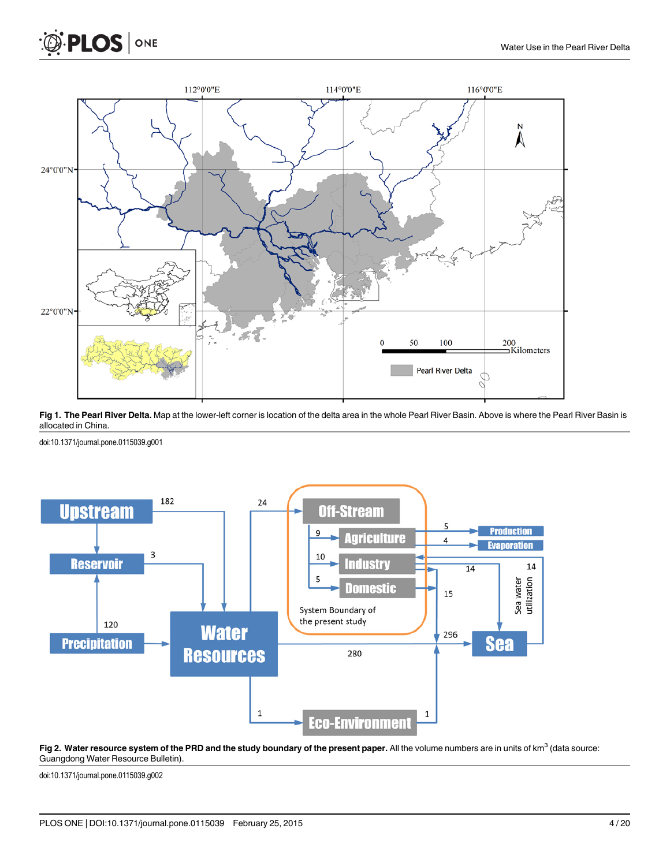<span id="page-3-0"></span>



[Fig 1. T](#page-2-0)he Pearl River Delta. Map at the lower-left corner is location of the delta area in the whole Pearl River Basin. Above is where the Pearl River Basin is allocated in China.



[Fig 2. W](#page-2-0)ater resource system of the PRD and the study boundary of the present paper. All the volume numbers are in units of  $km^3$  (data source: Guangdong Water Resource Bulletin).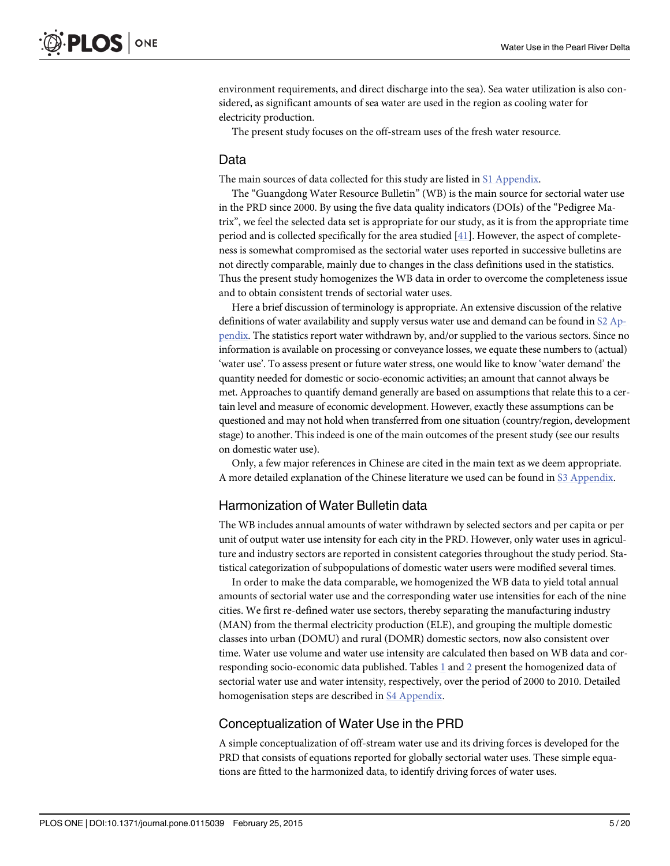<span id="page-4-0"></span>environment requirements, and direct discharge into the sea). Sea water utilization is also considered, as significant amounts of sea water are used in the region as cooling water for electricity production.

The present study focuses on the off-stream uses of the fresh water resource.

#### Data

The main sources of data collected for this study are listed in [S1 Appendix](#page-16-0).

The "Guangdong Water Resource Bulletin" (WB) is the main source for sectorial water use in the PRD since 2000. By using the five data quality indicators (DOIs) of the "Pedigree Matrix", we feel the selected data set is appropriate for our study, as it is from the appropriate time period and is collected specifically for the area studied [[41](#page-19-0)]. However, the aspect of completeness is somewhat compromised as the sectorial water uses reported in successive bulletins are not directly comparable, mainly due to changes in the class definitions used in the statistics. Thus the present study homogenizes the WB data in order to overcome the completeness issue and to obtain consistent trends of sectorial water uses.

Here a brief discussion of terminology is appropriate. An extensive discussion of the relative definitions of water availability and supply versus water use and demand can be found in [S2 Ap](#page-17-0)[pendix.](#page-17-0) The statistics report water withdrawn by, and/or supplied to the various sectors. Since no information is available on processing or conveyance losses, we equate these numbers to (actual) 'water use'. To assess present or future water stress, one would like to know 'water demand' the quantity needed for domestic or socio-economic activities; an amount that cannot always be met. Approaches to quantify demand generally are based on assumptions that relate this to a certain level and measure of economic development. However, exactly these assumptions can be questioned and may not hold when transferred from one situation (country/region, development stage) to another. This indeed is one of the main outcomes of the present study (see our results on domestic water use).

Only, a few major references in Chinese are cited in the main text as we deem appropriate. A more detailed explanation of the Chinese literature we used can be found in [S3 Appendix.](#page-17-0)

## Harmonization of Water Bulletin data

The WB includes annual amounts of water withdrawn by selected sectors and per capita or per unit of output water use intensity for each city in the PRD. However, only water uses in agriculture and industry sectors are reported in consistent categories throughout the study period. Statistical categorization of subpopulations of domestic water users were modified several times.

In order to make the data comparable, we homogenized the WB data to yield total annual amounts of sectorial water use and the corresponding water use intensities for each of the nine cities. We first re-defined water use sectors, thereby separating the manufacturing industry (MAN) from the thermal electricity production (ELE), and grouping the multiple domestic classes into urban (DOMU) and rural (DOMR) domestic sectors, now also consistent over time. Water use volume and water use intensity are calculated then based on WB data and corresponding socio-economic data published. Tables  $1$  and  $2$  present the homogenized data of sectorial water use and water intensity, respectively, over the period of 2000 to 2010. Detailed homogenisation steps are described in [S4 Appendix](#page-17-0).

## Conceptualization of Water Use in the PRD

A simple conceptualization of off-stream water use and its driving forces is developed for the PRD that consists of equations reported for globally sectorial water uses. These simple equations are fitted to the harmonized data, to identify driving forces of water uses.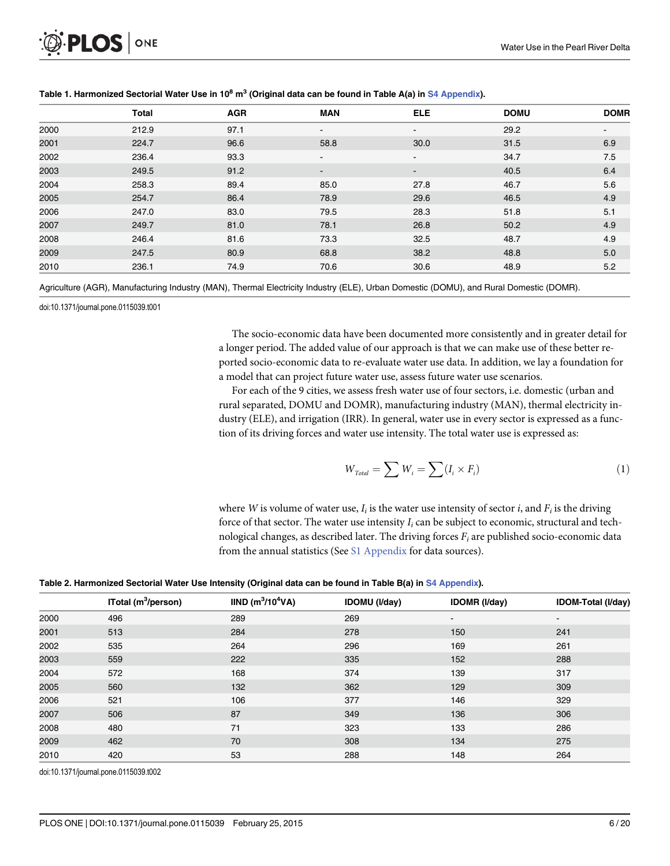<span id="page-5-0"></span>

|      | <b>Total</b> | <b>AGR</b> | <b>MAN</b>               | <b>ELE</b>     | <b>DOMU</b> | <b>DOMR</b> |
|------|--------------|------------|--------------------------|----------------|-------------|-------------|
| 2000 | 212.9        | 97.1       | $\overline{\phantom{0}}$ | $\blacksquare$ | 29.2        |             |
| 2001 | 224.7        | 96.6       | 58.8                     | 30.0           | 31.5        | 6.9         |
| 2002 | 236.4        | 93.3       | $\blacksquare$           | $\blacksquare$ | 34.7        | 7.5         |
| 2003 | 249.5        | 91.2       | $\overline{\phantom{a}}$ | $\blacksquare$ | 40.5        | 6.4         |
| 2004 | 258.3        | 89.4       | 85.0                     | 27.8           | 46.7        | 5.6         |
| 2005 | 254.7        | 86.4       | 78.9                     | 29.6           | 46.5        | 4.9         |
| 2006 | 247.0        | 83.0       | 79.5                     | 28.3           | 51.8        | 5.1         |
| 2007 | 249.7        | 81.0       | 78.1                     | 26.8           | 50.2        | 4.9         |
| 2008 | 246.4        | 81.6       | 73.3                     | 32.5           | 48.7        | 4.9         |
| 2009 | 247.5        | 80.9       | 68.8                     | 38.2           | 48.8        | 5.0         |
| 2010 | 236.1        | 74.9       | 70.6                     | 30.6           | 48.9        | 5.2         |

|  | Table 1. Harmonized Sectorial Water Use in 10 <sup>8</sup> m <sup>3</sup> (Original data can be found in Table A(a) in <u>S4 Appendix</u> ). |  |  |  |
|--|----------------------------------------------------------------------------------------------------------------------------------------------|--|--|--|
|--|----------------------------------------------------------------------------------------------------------------------------------------------|--|--|--|

Agriculture (AGR), Manufacturing Industry (MAN), Thermal Electricity Industry (ELE), Urban Domestic (DOMU), and Rural Domestic (DOMR).

doi:10.1371/journal.pone.0115039.t001

The socio-economic data have been documented more consistently and in greater detail for a longer period. The added value of our approach is that we can make use of these better reported socio-economic data to re-evaluate water use data. In addition, we lay a foundation for a model that can project future water use, assess future water use scenarios.

For each of the 9 cities, we assess fresh water use of four sectors, i.e. domestic (urban and rural separated, DOMU and DOMR), manufacturing industry (MAN), thermal electricity industry (ELE), and irrigation (IRR). In general, water use in every sector is expressed as a function of its driving forces and water use intensity. The total water use is expressed as:

$$
W_{\text{Total}} = \sum W_i = \sum (I_i \times F_i) \tag{1}
$$

where W is volume of water use,  $I_i$  is the water use intensity of sector *i*, and  $F_i$  is the driving force of that sector. The water use intensity  $I_i$  can be subject to economic, structural and technological changes, as described later. The driving forces  $F_i$  are published socio-economic data from the annual statistics (See  $S1$  Appendix for data sources).

| Table 2. Harmonized Sectorial Water Use Intensity (Original data can be found in Table B(a) in <u>S4 Appendix</u> ). |  |  |  |
|----------------------------------------------------------------------------------------------------------------------|--|--|--|
|----------------------------------------------------------------------------------------------------------------------|--|--|--|

|      | ITotal (m <sup>3</sup> /person) | IIND (m <sup>3</sup> /10 <sup>4</sup> VA) | <b>IDOMU (I/day)</b> | <b>IDOMR (I/day)</b> | IDOM-Total (I/day) |
|------|---------------------------------|-------------------------------------------|----------------------|----------------------|--------------------|
| 2000 | 496                             | 289                                       | 269                  |                      | -                  |
| 2001 | 513                             | 284                                       | 278                  | 150                  | 241                |
| 2002 | 535                             | 264                                       | 296                  | 169                  | 261                |
| 2003 | 559                             | 222                                       | 335                  | 152                  | 288                |
| 2004 | 572                             | 168                                       | 374                  | 139                  | 317                |
| 2005 | 560                             | 132                                       | 362                  | 129                  | 309                |
| 2006 | 521                             | 106                                       | 377                  | 146                  | 329                |
| 2007 | 506                             | 87                                        | 349                  | 136                  | 306                |
| 2008 | 480                             | 71                                        | 323                  | 133                  | 286                |
| 2009 | 462                             | 70                                        | 308                  | 134                  | 275                |
| 2010 | 420                             | 53                                        | 288                  | 148                  | 264                |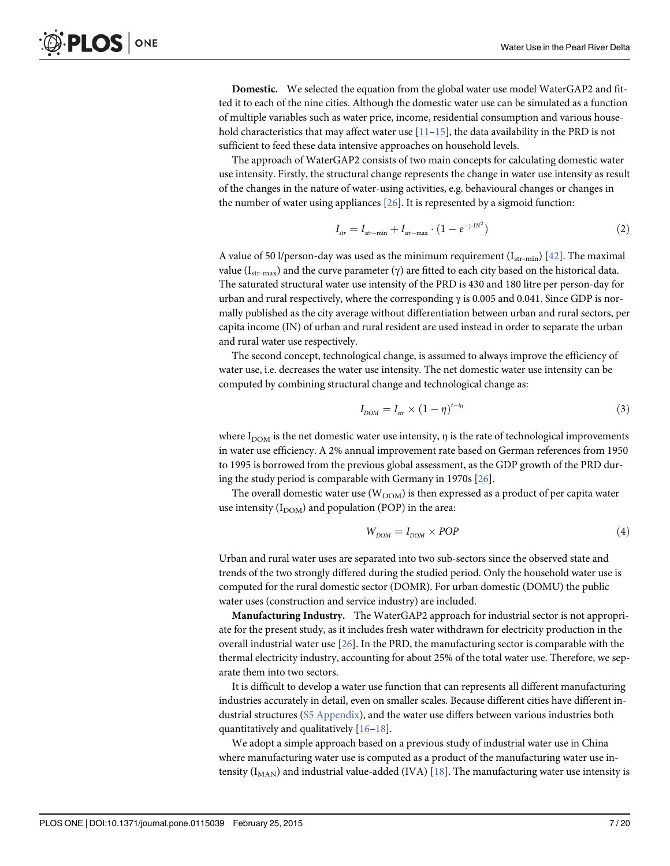<span id="page-6-0"></span>Domestic. We selected the equation from the global water use model WaterGAP2 and fitted it to each of the nine cities. Although the domestic water use can be simulated as a function of multiple variables such as water price, income, residential consumption and various household characteristics that may affect water use  $[11-15]$  $[11-15]$  $[11-15]$  $[11-15]$  $[11-15]$ , the data availability in the PRD is not sufficient to feed these data intensive approaches on household levels.

The approach of WaterGAP2 consists of two main concepts for calculating domestic water use intensity. Firstly, the structural change represents the change in water use intensity as result of the changes in the nature of water-using activities, e.g. behavioural changes or changes in the number of water using appliances  $[26]$  $[26]$  $[26]$ . It is represented by a sigmoid function:

$$
I_{str} = I_{str-min} + I_{str-max} \cdot (1 - e^{-\gamma \cdot N^2})
$$
 (2)

A value of 50 l/person-day was used as the minimum requirement ( $I_{str-min}$ ) [ $42$ ]. The maximal value ( $I<sub>str-max</sub>$ ) and the curve parameter (γ) are fitted to each city based on the historical data. The saturated structural water use intensity of the PRD is 430 and 180 litre per person-day for urban and rural respectively, where the corresponding  $γ$  is 0.005 and 0.041. Since GDP is normally published as the city average without differentiation between urban and rural sectors, per capita income (IN) of urban and rural resident are used instead in order to separate the urban and rural water use respectively.

The second concept, technological change, is assumed to always improve the efficiency of water use, i.e. decreases the water use intensity. The net domestic water use intensity can be computed by combining structural change and technological change as:

$$
I_{DOM} = I_{str} \times \left(1 - \eta\right)^{t - t_0} \tag{3}
$$

where  $I_{\text{DOM}}$  is the net domestic water use intensity,  $\eta$  is the rate of technological improvements in water use efficiency. A 2% annual improvement rate based on German references from 1950 to 1995 is borrowed from the previous global assessment, as the GDP growth of the PRD during the study period is comparable with Germany in 1970s [[26\]](#page-18-0).

The overall domestic water use  $(W_{DOM})$  is then expressed as a product of per capita water use intensity  $(I_{DOM})$  and population (POP) in the area:

$$
W_{DOM} = I_{DOM} \times POP \tag{4}
$$

Urban and rural water uses are separated into two sub-sectors since the observed state and trends of the two strongly differed during the studied period. Only the household water use is computed for the rural domestic sector (DOMR). For urban domestic (DOMU) the public water uses (construction and service industry) are included.

Manufacturing Industry. The WaterGAP2 approach for industrial sector is not appropriate for the present study, as it includes fresh water withdrawn for electricity production in the overall industrial water use  $[26]$ . In the PRD, the manufacturing sector is comparable with the thermal electricity industry, accounting for about 25% of the total water use. Therefore, we separate them into two sectors.

It is difficult to develop a water use function that can represents all different manufacturing industries accurately in detail, even on smaller scales. Because different cities have different in-dustrial structures ([S5 Appendix\)](#page-17-0), and the water use differs between various industries both quantitatively and qualitatively [\[16](#page-18-0)–[18\]](#page-18-0).

We adopt a simple approach based on a previous study of industrial water use in China where manufacturing water use is computed as a product of the manufacturing water use intensity ( $I_{MAN}$ ) and industrial value-added (IVA) [[18](#page-18-0)]. The manufacturing water use intensity is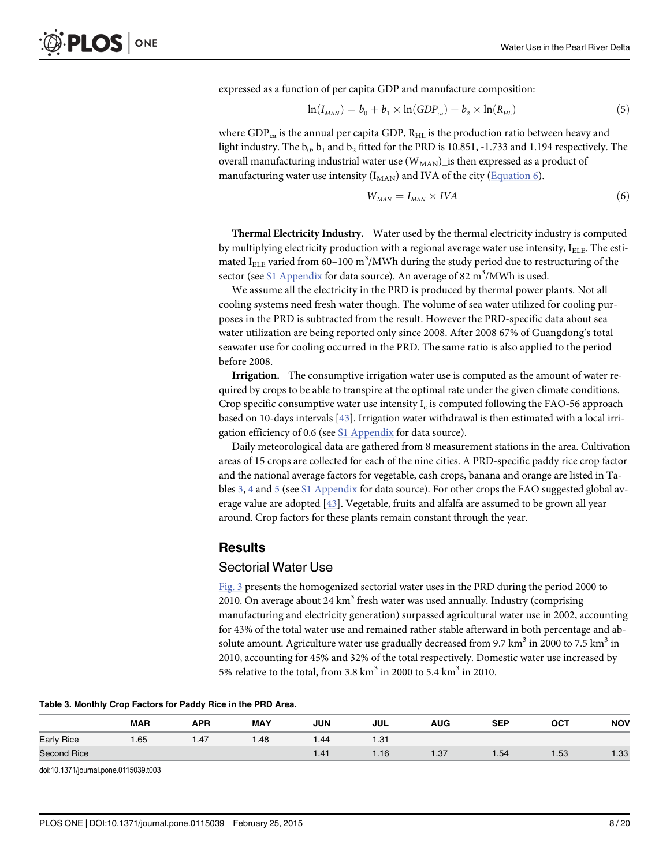<span id="page-7-0"></span>expressed as a function of per capita GDP and manufacture composition:

$$
\ln(I_{MAN}) = b_0 + b_1 \times \ln(GDP_{ca}) + b_2 \times \ln(R_{HL})
$$
\n(5)

where GDP<sub>ca</sub> is the annual per capita GDP,  $R_{HL}$  is the production ratio between heavy and light industry. The  $b_0$ ,  $b_1$  and  $b_2$  fitted for the PRD is 10.851, -1.733 and 1.194 respectively. The overall manufacturing industrial water use  $(W_{MAN})$  is then expressed as a product of manufacturing water use intensity  $(I_{MAN})$  and IVA of the city (Equation 6).

$$
W_{MAN} = I_{MAN} \times IVA
$$
 (6)

Thermal Electricity Industry. Water used by the thermal electricity industry is computed by multiplying electricity production with a regional average water use intensity,  $I_{\text{ELE}}$ . The estimated  $\rm I_{ELE}$  varied from 60–100  $\rm m^3/MWh$  during the study period due to restructuring of the sector (see [S1 Appendix](#page-16-0) for data source). An average of 82 m<sup>3</sup>/MWh is used.

We assume all the electricity in the PRD is produced by thermal power plants. Not all cooling systems need fresh water though. The volume of sea water utilized for cooling purposes in the PRD is subtracted from the result. However the PRD-specific data about sea water utilization are being reported only since 2008. After 2008 67% of Guangdong's total seawater use for cooling occurred in the PRD. The same ratio is also applied to the period before 2008.

Irrigation. The consumptive irrigation water use is computed as the amount of water required by crops to be able to transpire at the optimal rate under the given climate conditions. Crop specific consumptive water use intensity  $I_c$  is computed following the FAO-56 approach based on 10-days intervals  $[43]$ . Irrigation water withdrawal is then estimated with a local irri-gation efficiency of 0.6 (see [S1 Appendix](#page-16-0) for data source).

Daily meteorological data are gathered from 8 measurement stations in the area. Cultivation areas of 15 crops are collected for each of the nine cities. A PRD-specific paddy rice crop factor and the national average factors for vegetable, cash crops, banana and orange are listed in Tables 3, [4](#page-8-0) and [5](#page-8-0) (see [S1 Appendix](#page-16-0) for data source). For other crops the FAO suggested global average value are adopted  $[43]$  $[43]$ . Vegetable, fruits and alfalfa are assumed to be grown all year around. Crop factors for these plants remain constant through the year.

## **Results**

#### Sectorial Water Use

[Fig. 3](#page-9-0) presents the homogenized sectorial water uses in the PRD during the period 2000 to 2010. On average about 24  $km<sup>3</sup>$  fresh water was used annually. Industry (comprising manufacturing and electricity generation) surpassed agricultural water use in 2002, accounting for 43% of the total water use and remained rather stable afterward in both percentage and absolute amount. Agriculture water use gradually decreased from 9.7 km<sup>3</sup> in 2000 to 7.5 km<sup>3</sup> in 2010, accounting for 45% and 32% of the total respectively. Domestic water use increased by 5% relative to the total, from 3.8  $km<sup>3</sup>$  in 2000 to 5.4  $km<sup>3</sup>$  in 2010.

#### Table 3. Monthly Crop Factors for Paddy Rice in the PRD Area.

|                    | <b>MAR</b> | APR  | <b>MAY</b><br>---- - - | JUN  | <b>JUL</b> | AUG | <b>SEP</b> | ост | <b>NOV</b> |
|--------------------|------------|------|------------------------|------|------------|-----|------------|-----|------------|
| <b>Early Rice</b>  | .65        | 1.47 | .48                    | 1.44 | 1.31       |     |            |     |            |
| <b>Second Rice</b> |            |      |                        | 1.41 | .16        | .37 | .54        | .53 | 1.33       |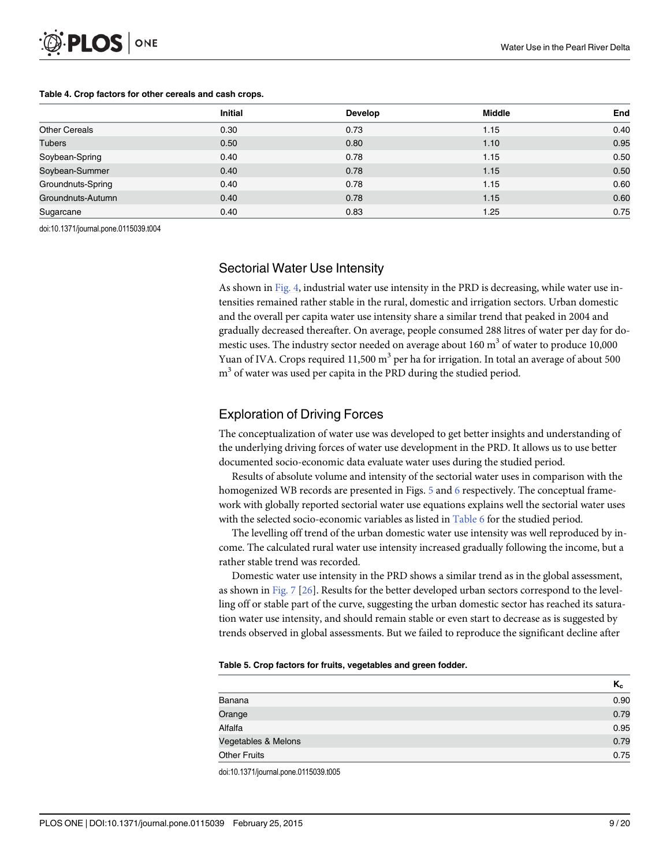|                   | <b>Initial</b> | <b>Develop</b> | <b>Middle</b> | End  |
|-------------------|----------------|----------------|---------------|------|
| Other Cereals     | 0.30           | 0.73           | 1.15          | 0.40 |
| <b>Tubers</b>     | 0.50           | 0.80           | 1.10          | 0.95 |
| Soybean-Spring    | 0.40           | 0.78           | 1.15          | 0.50 |
| Soybean-Summer    | 0.40           | 0.78           | 1.15          | 0.50 |
| Groundnuts-Spring | 0.40           | 0.78           | 1.15          | 0.60 |
| Groundnuts-Autumn | 0.40           | 0.78           | 1.15          | 0.60 |
| Sugarcane         | 0.40           | 0.83           | 1.25          | 0.75 |

#### <span id="page-8-0"></span>[Table 4.](#page-7-0) Crop factors for other cereals and cash crops.

doi:10.1371/journal.pone.0115039.t004

## Sectorial Water Use Intensity

As shown in [Fig. 4,](#page-9-0) industrial water use intensity in the PRD is decreasing, while water use intensities remained rather stable in the rural, domestic and irrigation sectors. Urban domestic and the overall per capita water use intensity share a similar trend that peaked in 2004 and gradually decreased thereafter. On average, people consumed 288 litres of water per day for domestic uses. The industry sector needed on average about  $160 \text{ m}^3$  of water to produce 10,000 Yuan of IVA. Crops required 11,500  $m<sup>3</sup>$  per ha for irrigation. In total an average of about 500  $m<sup>3</sup>$  of water was used per capita in the PRD during the studied period.

## Exploration of Driving Forces

The conceptualization of water use was developed to get better insights and understanding of the underlying driving forces of water use development in the PRD. It allows us to use better documented socio-economic data evaluate water uses during the studied period.

Results of absolute volume and intensity of the sectorial water uses in comparison with the homogenized WB records are presented in Figs.  $5$  and  $6$  respectively. The conceptual framework with globally reported sectorial water use equations explains well the sectorial water uses with the selected socio-economic variables as listed in [Table 6](#page-11-0) for the studied period.

The levelling off trend of the urban domestic water use intensity was well reproduced by income. The calculated rural water use intensity increased gradually following the income, but a rather stable trend was recorded.

Domestic water use intensity in the PRD shows a similar trend as in the global assessment, as shown in [Fig. 7](#page-11-0) [\[26\]](#page-18-0). Results for the better developed urban sectors correspond to the levelling off or stable part of the curve, suggesting the urban domestic sector has reached its saturation water use intensity, and should remain stable or even start to decrease as is suggested by trends observed in global assessments. But we failed to reproduce the significant decline after

#### [Table 5.](#page-7-0) Crop factors for fruits, vegetables and green fodder.

|                                | $K_c$ |
|--------------------------------|-------|
| Banana                         | 0.90  |
| Orange                         | 0.79  |
| Alfalfa                        | 0.95  |
| <b>Vegetables &amp; Melons</b> | 0.79  |
| <b>Other Fruits</b>            | 0.75  |
|                                |       |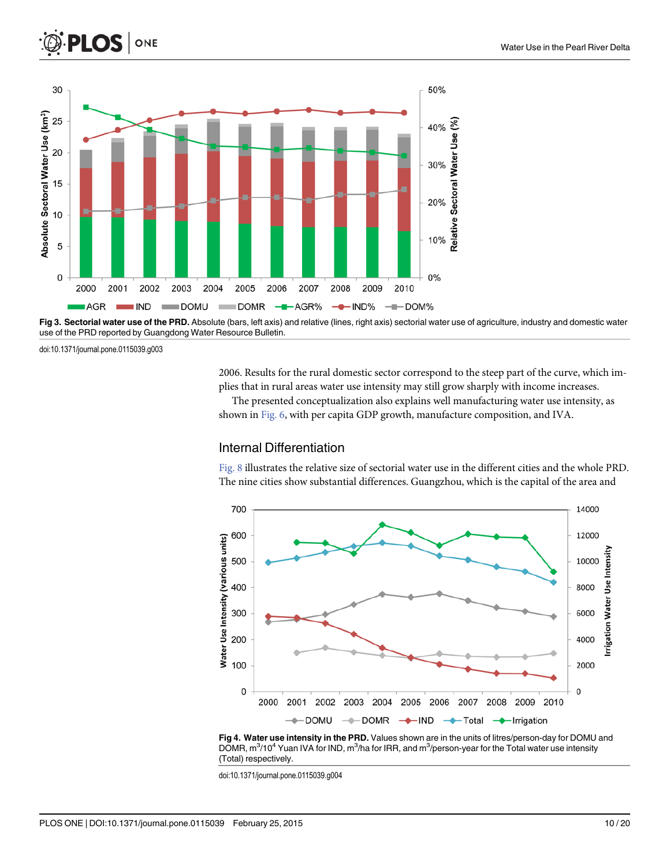<span id="page-9-0"></span>



[Fig 3. S](#page-7-0)ectorial water use of the PRD. Absolute (bars, left axis) and relative (lines, right axis) sectorial water use of agriculture, industry and domestic water use of the PRD reported by Guangdong Water Resource Bulletin.

2006. Results for the rural domestic sector correspond to the steep part of the curve, which implies that in rural areas water use intensity may still grow sharply with income increases.

The presented conceptualization also explains well manufacturing water use intensity, as shown in [Fig. 6](#page-10-0), with per capita GDP growth, manufacture composition, and IVA.

## Internal Differentiation

[Fig. 8](#page-12-0) illustrates the relative size of sectorial water use in the different cities and the whole PRD. The nine cities show substantial differences. Guangzhou, which is the capital of the area and



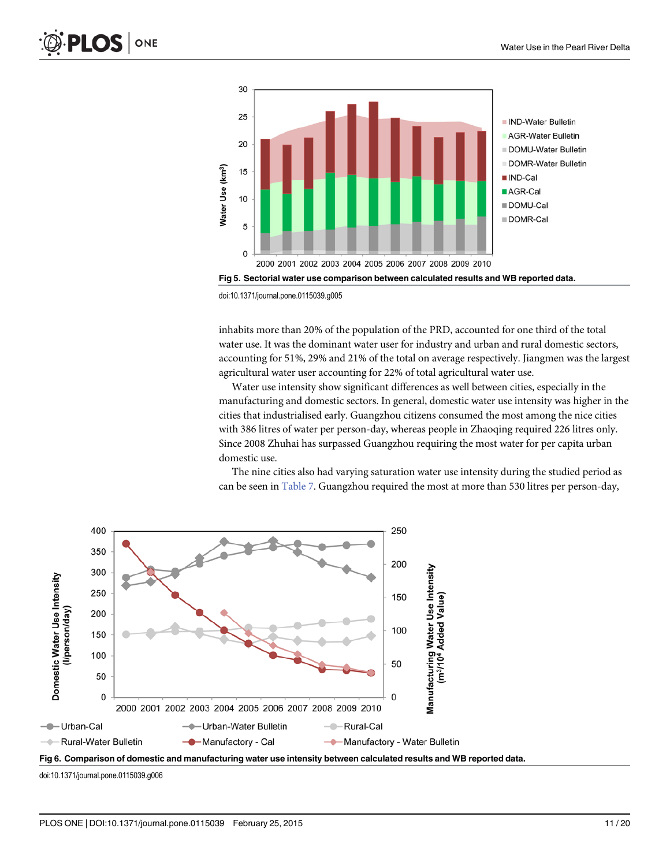<span id="page-10-0"></span>

inhabits more than 20% of the population of the PRD, accounted for one third of the total water use. It was the dominant water user for industry and urban and rural domestic sectors, accounting for 51%, 29% and 21% of the total on average respectively. Jiangmen was the largest agricultural water user accounting for 22% of total agricultural water use.

Water use intensity show significant differences as well between cities, especially in the manufacturing and domestic sectors. In general, domestic water use intensity was higher in the cities that industrialised early. Guangzhou citizens consumed the most among the nice cities with 386 litres of water per person-day, whereas people in Zhaoqing required 226 litres only. Since 2008 Zhuhai has surpassed Guangzhou requiring the most water for per capita urban domestic use.

The nine cities also had varying saturation water use intensity during the studied period as can be seen in [Table 7.](#page-12-0) Guangzhou required the most at more than 530 litres per person-day,



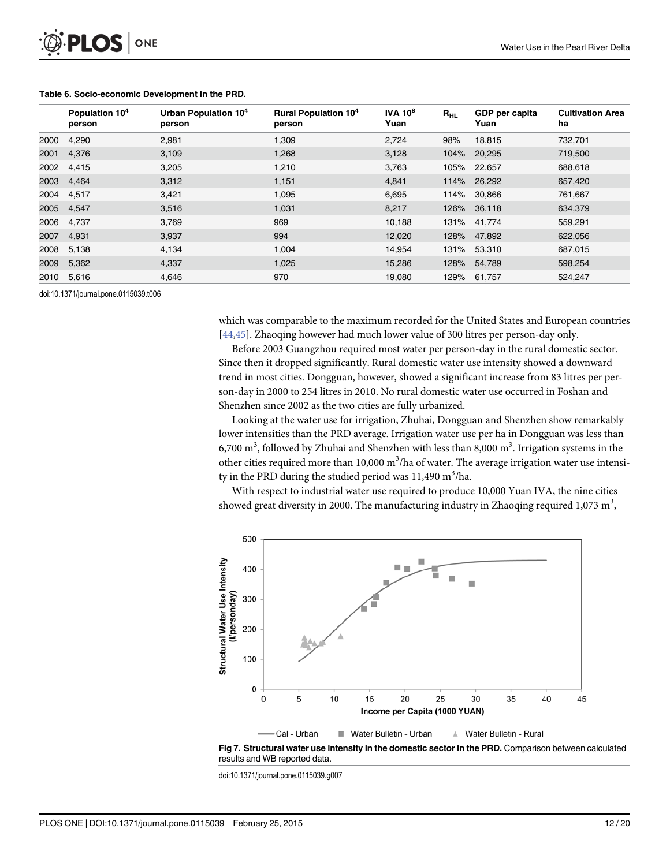|            | Population 10 <sup>4</sup><br>person | Urban Population 10 <sup>4</sup><br>person | <b>Rural Population 10<sup>4</sup></b><br>person | IVA $10^8$<br>Yuan | $R_{HL}$ | GDP per capita<br>Yuan | <b>Cultivation Area</b><br>ha |
|------------|--------------------------------------|--------------------------------------------|--------------------------------------------------|--------------------|----------|------------------------|-------------------------------|
| 2000       | 4,290                                | 2,981                                      | 1,309                                            | 2,724              | 98%      | 18,815                 | 732,701                       |
| 2001       | 4,376                                | 3,109                                      | 1,268                                            | 3,128              | 104%     | 20,295                 | 719,500                       |
| 2002       | 4,415                                | 3,205                                      | 1,210                                            | 3,763              | 105%     | 22,657                 | 688,618                       |
|            | 2003 4,464                           | 3,312                                      | 1,151                                            | 4,841              | 114%     | 26,292                 | 657,420                       |
| 2004 4.517 |                                      | 3,421                                      | 1,095                                            | 6,695              | 114%     | 30,866                 | 761.667                       |
| 2005 4,547 |                                      | 3,516                                      | 1,031                                            | 8,217              | 126%     | 36,118                 | 634,379                       |
| 2006       | 4.737                                | 3.769                                      | 969                                              | 10.188             |          | 131% 41,774            | 559,291                       |
| 2007       | 4.931                                | 3,937                                      | 994                                              | 12,020             | 128%     | 47,892                 | 622,056                       |
| 2008       | 5,138                                | 4,134                                      | 1.004                                            | 14.954             | 131%     | 53,310                 | 687,015                       |
| 2009       | 5,362                                | 4,337                                      | 1,025                                            | 15,286             | 128%     | 54,789                 | 598.254                       |
| 2010       | 5,616                                | 4,646                                      | 970                                              | 19,080             | 129%     | 61,757                 | 524,247                       |

#### <span id="page-11-0"></span>[Table 6.](#page-8-0) Socio-economic Development in the PRD.

doi:10.1371/journal.pone.0115039.t006

which was comparable to the maximum recorded for the United States and European countries [\[44,45\]](#page-19-0). Zhaoqing however had much lower value of 300 litres per person-day only.

Before 2003 Guangzhou required most water per person-day in the rural domestic sector. Since then it dropped significantly. Rural domestic water use intensity showed a downward trend in most cities. Dongguan, however, showed a significant increase from 83 litres per person-day in 2000 to 254 litres in 2010. No rural domestic water use occurred in Foshan and Shenzhen since 2002 as the two cities are fully urbanized.

Looking at the water use for irrigation, Zhuhai, Dongguan and Shenzhen show remarkably lower intensities than the PRD average. Irrigation water use per ha in Dongguan was less than 6,700  $\text{m}^3$ , followed by Zhuhai and Shenzhen with less than 8,000  $\text{m}^3$ . Irrigation systems in the other cities required more than  $10,000 \text{ m}^3/\text{ha}$  of water. The average irrigation water use intensity in the PRD during the studied period was  $11,490$  m<sup>3</sup>/ha.

With respect to industrial water use required to produce 10,000 Yuan IVA, the nine cities showed great diversity in 2000. The manufacturing industry in Zhaoqing required 1,073  $\mathrm{m}^{3},$ 





doi:10.1371/journal.pone.0115039.g007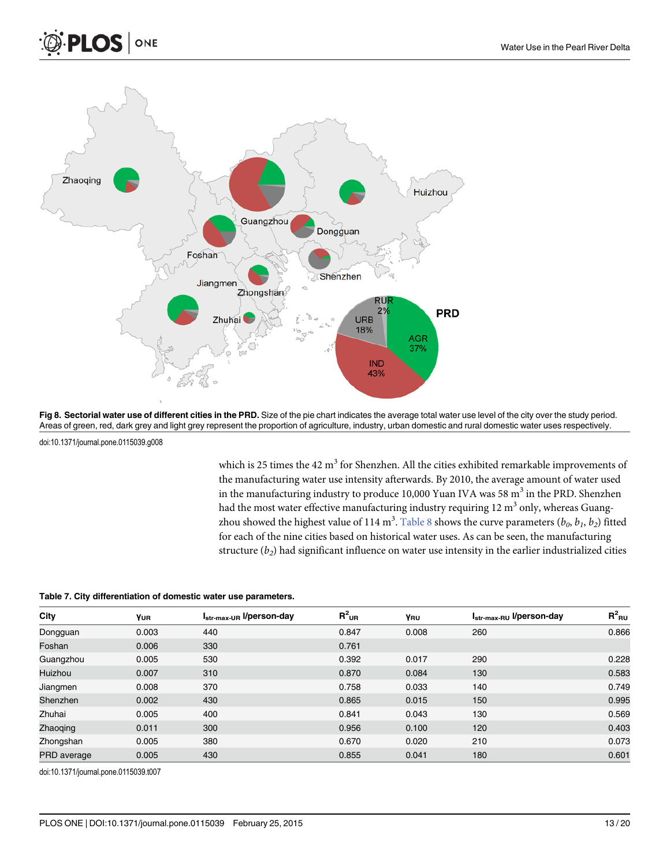<span id="page-12-0"></span>



[Fig 8. S](#page-9-0)ectorial water use of different cities in the PRD. Size of the pie chart indicates the average total water use level of the city over the study period. Areas of green, red, dark grey and light grey represent the proportion of agriculture, industry, urban domestic and rural domestic water uses respectively.

which is 25 times the 42  $m<sup>3</sup>$  for Shenzhen. All the cities exhibited remarkable improvements of the manufacturing water use intensity afterwards. By 2010, the average amount of water used in the manufacturing industry to produce 10,000 Yuan IVA was 58  $m^3$  in the PRD. Shenzhen had the most water effective manufacturing industry requiring  $12 \text{ m}^3$  only, whereas Guang-zhou showed the highest value of 114 m<sup>3</sup>. [Table 8](#page-13-0) shows the curve parameters  $(b_o, b_1, b_2)$  fitted for each of the nine cities based on historical water uses. As can be seen, the manufacturing structure  $(b_2)$  had significant influence on water use intensity in the earlier industrialized cities

[Table 7.](#page-10-0) City differentiation of domestic water use parameters.

| City        | Yur   | I <sub>str-max-UR</sub> I/person-day | $R^2$ <sub>UR</sub> | YRU   | I <sub>str-max-RU</sub> I/person-day | $R^2_{\  \  \, RU}$ |
|-------------|-------|--------------------------------------|---------------------|-------|--------------------------------------|---------------------|
| Dongguan    | 0.003 | 440                                  | 0.847               | 0.008 | 260                                  | 0.866               |
| Foshan      | 0.006 | 330                                  | 0.761               |       |                                      |                     |
| Guangzhou   | 0.005 | 530                                  | 0.392               | 0.017 | 290                                  | 0.228               |
| Huizhou     | 0.007 | 310                                  | 0.870               | 0.084 | 130                                  | 0.583               |
| Jiangmen    | 0.008 | 370                                  | 0.758               | 0.033 | 140                                  | 0.749               |
| Shenzhen    | 0.002 | 430                                  | 0.865               | 0.015 | 150                                  | 0.995               |
| Zhuhai      | 0.005 | 400                                  | 0.841               | 0.043 | 130                                  | 0.569               |
| Zhaoging    | 0.011 | 300                                  | 0.956               | 0.100 | 120                                  | 0.403               |
| Zhongshan   | 0.005 | 380                                  | 0.670               | 0.020 | 210                                  | 0.073               |
| PRD average | 0.005 | 430                                  | 0.855               | 0.041 | 180                                  | 0.601               |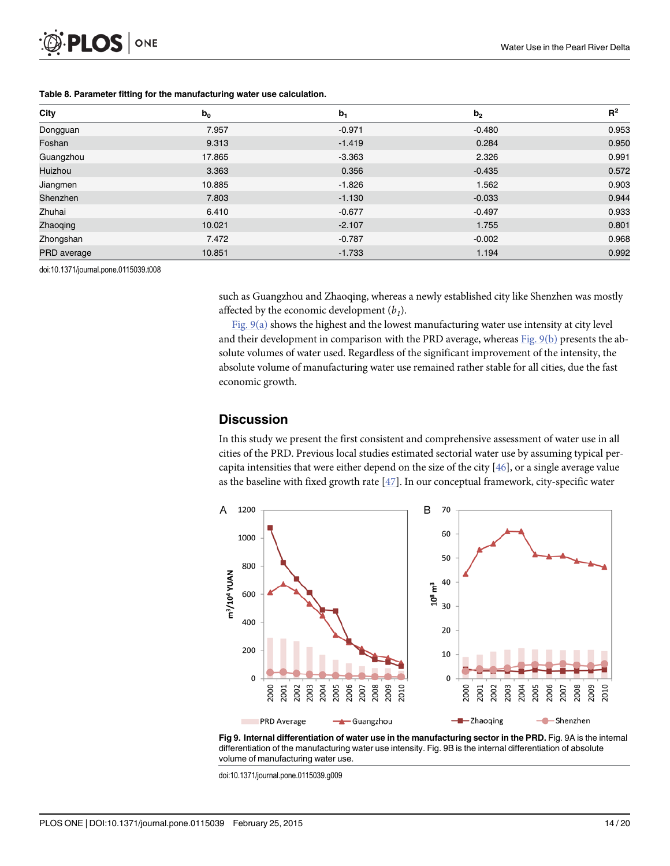<span id="page-13-0"></span>

| City        | $b_0$  | b <sub>1</sub> | b <sub>2</sub> | $R^2$ |
|-------------|--------|----------------|----------------|-------|
| Dongguan    | 7.957  | $-0.971$       | $-0.480$       | 0.953 |
| Foshan      | 9.313  | $-1.419$       | 0.284          | 0.950 |
| Guangzhou   | 17.865 | $-3.363$       | 2.326          | 0.991 |
| Huizhou     | 3.363  | 0.356          | $-0.435$       | 0.572 |
| Jiangmen    | 10.885 | $-1.826$       | 1.562          | 0.903 |
| Shenzhen    | 7.803  | $-1.130$       | $-0.033$       | 0.944 |
| Zhuhai      | 6.410  | $-0.677$       | $-0.497$       | 0.933 |
| Zhaoqing    | 10.021 | $-2.107$       | 1.755          | 0.801 |
| Zhongshan   | 7.472  | $-0.787$       | $-0.002$       | 0.968 |
| PRD average | 10.851 | $-1.733$       | 1.194          | 0.992 |

[Table 8.](#page-12-0) Parameter fitting for the manufacturing water use calculation.

doi:10.1371/journal.pone.0115039.t008

such as Guangzhou and Zhaoqing, whereas a newly established city like Shenzhen was mostly affected by the economic development  $(b_1)$ .

Fig. 9(a) shows the highest and the lowest manufacturing water use intensity at city level and their development in comparison with the PRD average, whereas  $Fig. 9(b)$  presents the absolute volumes of water used. Regardless of the significant improvement of the intensity, the absolute volume of manufacturing water use remained rather stable for all cities, due the fast economic growth.

## **Discussion**

In this study we present the first consistent and comprehensive assessment of water use in all cities of the PRD. Previous local studies estimated sectorial water use by assuming typical percapita intensities that were either depend on the size of the city  $[46]$ , or a single average value as the baseline with fixed growth rate  $[47]$ . In our conceptual framework, city-specific water



Fig 9. Internal differentiation of water use in the manufacturing sector in the PRD. Fig. 9A is the internal differentiation of the manufacturing water use intensity. Fig. 9B is the internal differentiation of absolute volume of manufacturing water use.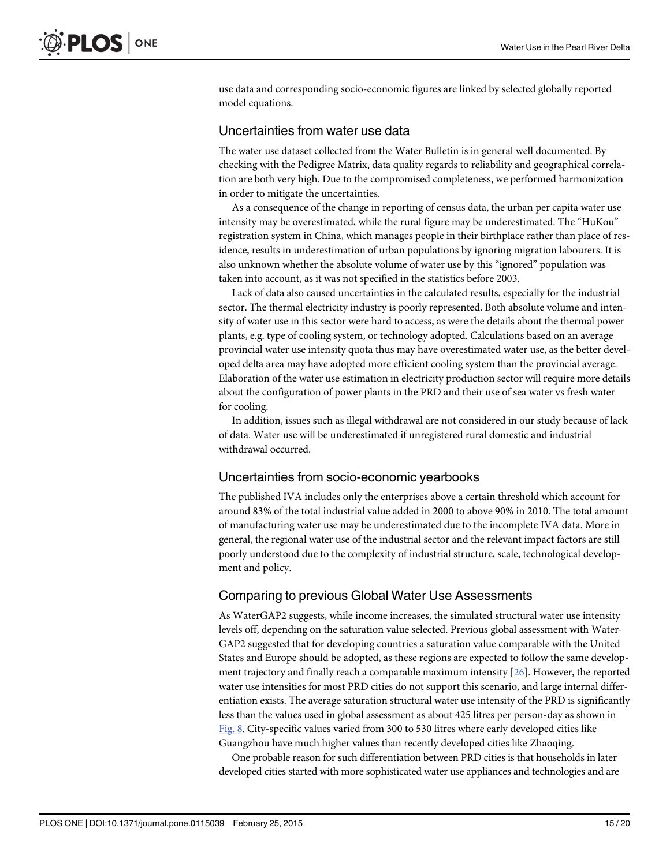use data and corresponding socio-economic figures are linked by selected globally reported model equations.

## Uncertainties from water use data

The water use dataset collected from the Water Bulletin is in general well documented. By checking with the Pedigree Matrix, data quality regards to reliability and geographical correlation are both very high. Due to the compromised completeness, we performed harmonization in order to mitigate the uncertainties.

As a consequence of the change in reporting of census data, the urban per capita water use intensity may be overestimated, while the rural figure may be underestimated. The "HuKou" registration system in China, which manages people in their birthplace rather than place of residence, results in underestimation of urban populations by ignoring migration labourers. It is also unknown whether the absolute volume of water use by this "ignored" population was taken into account, as it was not specified in the statistics before 2003.

Lack of data also caused uncertainties in the calculated results, especially for the industrial sector. The thermal electricity industry is poorly represented. Both absolute volume and intensity of water use in this sector were hard to access, as were the details about the thermal power plants, e.g. type of cooling system, or technology adopted. Calculations based on an average provincial water use intensity quota thus may have overestimated water use, as the better developed delta area may have adopted more efficient cooling system than the provincial average. Elaboration of the water use estimation in electricity production sector will require more details about the configuration of power plants in the PRD and their use of sea water vs fresh water for cooling.

In addition, issues such as illegal withdrawal are not considered in our study because of lack of data. Water use will be underestimated if unregistered rural domestic and industrial withdrawal occurred.

#### Uncertainties from socio-economic yearbooks

The published IVA includes only the enterprises above a certain threshold which account for around 83% of the total industrial value added in 2000 to above 90% in 2010. The total amount of manufacturing water use may be underestimated due to the incomplete IVA data. More in general, the regional water use of the industrial sector and the relevant impact factors are still poorly understood due to the complexity of industrial structure, scale, technological development and policy.

## Comparing to previous Global Water Use Assessments

As WaterGAP2 suggests, while income increases, the simulated structural water use intensity levels off, depending on the saturation value selected. Previous global assessment with Water-GAP2 suggested that for developing countries a saturation value comparable with the United States and Europe should be adopted, as these regions are expected to follow the same development trajectory and finally reach a comparable maximum intensity [[26](#page-18-0)]. However, the reported water use intensities for most PRD cities do not support this scenario, and large internal differentiation exists. The average saturation structural water use intensity of the PRD is significantly less than the values used in global assessment as about 425 litres per person-day as shown in [Fig. 8.](#page-12-0) City-specific values varied from 300 to 530 litres where early developed cities like Guangzhou have much higher values than recently developed cities like Zhaoqing.

One probable reason for such differentiation between PRD cities is that households in later developed cities started with more sophisticated water use appliances and technologies and are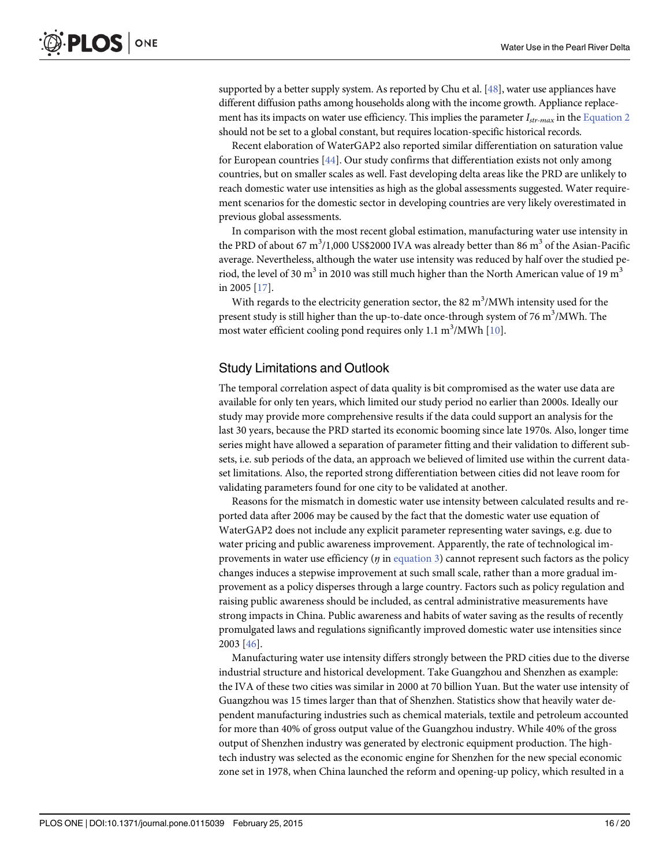<span id="page-15-0"></span>supported by a better supply system. As reported by Chu et al. [[48](#page-19-0)], water use appliances have different diffusion paths among households along with the income growth. Appliance replacement has its impacts on water use efficiency. This implies the parameter  $I_{str-max}$  in the [Equation 2](#page-6-0) should not be set to a global constant, but requires location-specific historical records.

Recent elaboration of WaterGAP2 also reported similar differentiation on saturation value for European countries [\[44\]](#page-19-0). Our study confirms that differentiation exists not only among countries, but on smaller scales as well. Fast developing delta areas like the PRD are unlikely to reach domestic water use intensities as high as the global assessments suggested. Water requirement scenarios for the domestic sector in developing countries are very likely overestimated in previous global assessments.

In comparison with the most recent global estimation, manufacturing water use intensity in the PRD of about 67 m<sup>3</sup>/1,000 US\$2000 IVA was already better than 86 m<sup>3</sup> of the Asian-Pacific average. Nevertheless, although the water use intensity was reduced by half over the studied period, the level of 30 m<sup>3</sup> in 2010 was still much higher than the North American value of 19 m<sup>3</sup> in 2005 [\[17\]](#page-18-0).

With regards to the electricity generation sector, the 82  $\text{m}^3/\text{MWh}$  intensity used for the present study is still higher than the up-to-date once-through system of  $76 \text{ m}^3/\text{MWh}$ . The most water efficient cooling pond requires only  $1.1 \text{ m}^3/\text{MWh}$  [[10](#page-17-0)].

## Study Limitations and Outlook

The temporal correlation aspect of data quality is bit compromised as the water use data are available for only ten years, which limited our study period no earlier than 2000s. Ideally our study may provide more comprehensive results if the data could support an analysis for the last 30 years, because the PRD started its economic booming since late 1970s. Also, longer time series might have allowed a separation of parameter fitting and their validation to different subsets, i.e. sub periods of the data, an approach we believed of limited use within the current dataset limitations. Also, the reported strong differentiation between cities did not leave room for validating parameters found for one city to be validated at another.

Reasons for the mismatch in domestic water use intensity between calculated results and reported data after 2006 may be caused by the fact that the domestic water use equation of WaterGAP2 does not include any explicit parameter representing water savings, e.g. due to water pricing and public awareness improvement. Apparently, the rate of technological improvements in water use efficiency ( $\eta$  in [equation 3\)](#page-6-0) cannot represent such factors as the policy changes induces a stepwise improvement at such small scale, rather than a more gradual improvement as a policy disperses through a large country. Factors such as policy regulation and raising public awareness should be included, as central administrative measurements have strong impacts in China. Public awareness and habits of water saving as the results of recently promulgated laws and regulations significantly improved domestic water use intensities since 2003 [[46](#page-19-0)].

Manufacturing water use intensity differs strongly between the PRD cities due to the diverse industrial structure and historical development. Take Guangzhou and Shenzhen as example: the IVA of these two cities was similar in 2000 at 70 billion Yuan. But the water use intensity of Guangzhou was 15 times larger than that of Shenzhen. Statistics show that heavily water dependent manufacturing industries such as chemical materials, textile and petroleum accounted for more than 40% of gross output value of the Guangzhou industry. While 40% of the gross output of Shenzhen industry was generated by electronic equipment production. The hightech industry was selected as the economic engine for Shenzhen for the new special economic zone set in 1978, when China launched the reform and opening-up policy, which resulted in a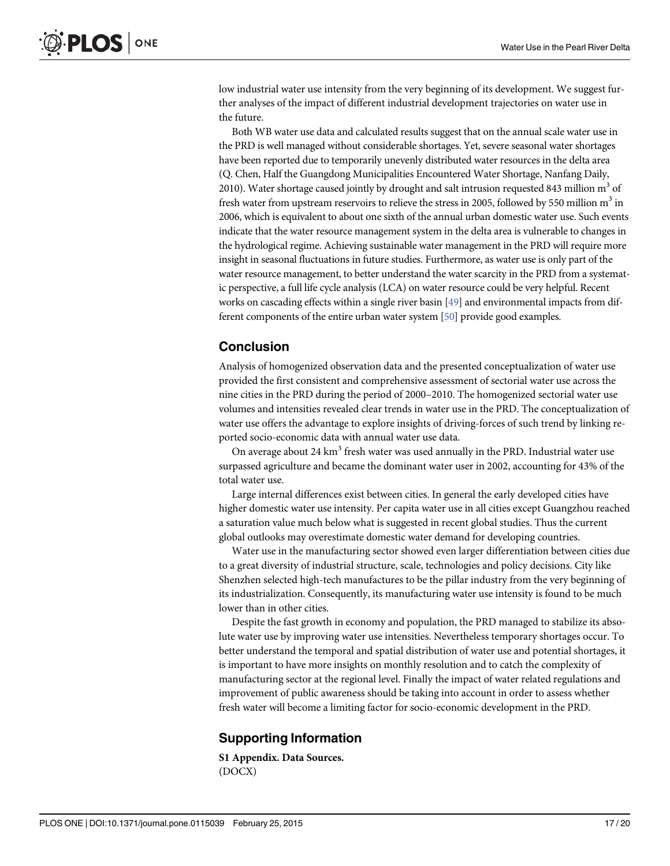<span id="page-16-0"></span>low industrial water use intensity from the very beginning of its development. We suggest further analyses of the impact of different industrial development trajectories on water use in the future.

Both WB water use data and calculated results suggest that on the annual scale water use in the PRD is well managed without considerable shortages. Yet, severe seasonal water shortages have been reported due to temporarily unevenly distributed water resources in the delta area (Q. Chen, Half the Guangdong Municipalities Encountered Water Shortage, Nanfang Daily, 2010). Water shortage caused jointly by drought and salt intrusion requested 843 million  $m<sup>3</sup>$  of fresh water from upstream reservoirs to relieve the stress in 2005, followed by 550 million  $m<sup>3</sup>$  in 2006, which is equivalent to about one sixth of the annual urban domestic water use. Such events indicate that the water resource management system in the delta area is vulnerable to changes in the hydrological regime. Achieving sustainable water management in the PRD will require more insight in seasonal fluctuations in future studies. Furthermore, as water use is only part of the water resource management, to better understand the water scarcity in the PRD from a systematic perspective, a full life cycle analysis (LCA) on water resource could be very helpful. Recent works on cascading effects within a single river basin [[49](#page-19-0)] and environmental impacts from different components of the entire urban water system [\[50](#page-19-0)] provide good examples.

## Conclusion

Analysis of homogenized observation data and the presented conceptualization of water use provided the first consistent and comprehensive assessment of sectorial water use across the nine cities in the PRD during the period of 2000–2010. The homogenized sectorial water use volumes and intensities revealed clear trends in water use in the PRD. The conceptualization of water use offers the advantage to explore insights of driving-forces of such trend by linking reported socio-economic data with annual water use data.

On average about 24  $km^3$  fresh water was used annually in the PRD. Industrial water use surpassed agriculture and became the dominant water user in 2002, accounting for 43% of the total water use.

Large internal differences exist between cities. In general the early developed cities have higher domestic water use intensity. Per capita water use in all cities except Guangzhou reached a saturation value much below what is suggested in recent global studies. Thus the current global outlooks may overestimate domestic water demand for developing countries.

Water use in the manufacturing sector showed even larger differentiation between cities due to a great diversity of industrial structure, scale, technologies and policy decisions. City like Shenzhen selected high-tech manufactures to be the pillar industry from the very beginning of its industrialization. Consequently, its manufacturing water use intensity is found to be much lower than in other cities.

Despite the fast growth in economy and population, the PRD managed to stabilize its absolute water use by improving water use intensities. Nevertheless temporary shortages occur. To better understand the temporal and spatial distribution of water use and potential shortages, it is important to have more insights on monthly resolution and to catch the complexity of manufacturing sector at the regional level. Finally the impact of water related regulations and improvement of public awareness should be taking into account in order to assess whether fresh water will become a limiting factor for socio-economic development in the PRD.

## Supporting Information

[S1 Appendix.](http://www.plosone.org/article/fetchSingleRepresentation.action?uri=info:doi/10.1371/journal.pone.0115039.s001) Data Sources. (DOCX)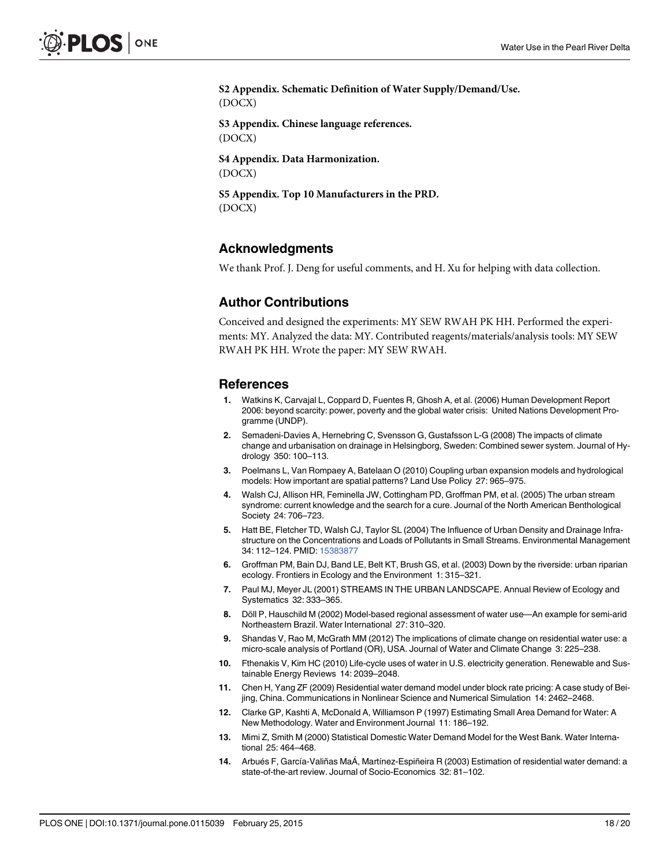<span id="page-17-0"></span>[S2 Appendix.](http://www.plosone.org/article/fetchSingleRepresentation.action?uri=info:doi/10.1371/journal.pone.0115039.s002) Schematic Definition of Water Supply/Demand/Use. (DOCX)

[S3 Appendix.](http://www.plosone.org/article/fetchSingleRepresentation.action?uri=info:doi/10.1371/journal.pone.0115039.s003) Chinese language references. (DOCX)

[S4 Appendix.](http://www.plosone.org/article/fetchSingleRepresentation.action?uri=info:doi/10.1371/journal.pone.0115039.s004) Data Harmonization. (DOCX)

[S5 Appendix.](http://www.plosone.org/article/fetchSingleRepresentation.action?uri=info:doi/10.1371/journal.pone.0115039.s005) Top 10 Manufacturers in the PRD. (DOCX)

## Acknowledgments

We thank Prof. J. Deng for useful comments, and H. Xu for helping with data collection.

## Author Contributions

Conceived and designed the experiments: MY SEW RWAH PK HH. Performed the experiments: MY. Analyzed the data: MY. Contributed reagents/materials/analysis tools: MY SEW RWAH PK HH. Wrote the paper: MY SEW RWAH.

## References

- [1.](#page-0-0) Watkins K, Carvajal L, Coppard D, Fuentes R, Ghosh A, et al. (2006) Human Development Report 2006: beyond scarcity: power, poverty and the global water crisis: United Nations Development Programme (UNDP).
- [2.](#page-1-0) Semadeni-Davies A, Hernebring C, Svensson G, Gustafsson L-G (2008) The impacts of climate change and urbanisation on drainage in Helsingborg, Sweden: Combined sewer system. Journal of Hydrology 350: 100–113.
- [3.](#page-1-0) Poelmans L, Van Rompaey A, Batelaan O (2010) Coupling urban expansion models and hydrological models: How important are spatial patterns? Land Use Policy 27: 965–975.
- [4.](#page-1-0) Walsh CJ, Allison HR, Feminella JW, Cottingham PD, Groffman PM, et al. (2005) The urban stream syndrome: current knowledge and the search for a cure. Journal of the North American Benthological Society 24: 706–723.
- 5. Hatt BE, Fletcher TD, Walsh CJ, Taylor SL (2004) The Influence of Urban Density and Drainage Infrastructure on the Concentrations and Loads of Pollutants in Small Streams. Environmental Management 34: 112–124. PMID: [15383877](http://www.ncbi.nlm.nih.gov/pubmed/15383877)
- 6. Groffman PM, Bain DJ, Band LE, Belt KT, Brush GS, et al. (2003) Down by the riverside: urban riparian ecology. Frontiers in Ecology and the Environment 1: 315–321.
- [7.](#page-1-0) Paul MJ, Meyer JL (2001) STREAMS IN THE URBAN LANDSCAPE. Annual Review of Ecology and Systematics 32: 333–365.
- [8.](#page-1-0) Döll P, Hauschild M (2002) Model-based regional assessment of water use—An example for semi-arid Northeastern Brazil. Water International 27: 310–320.
- [9.](#page-1-0) Shandas V, Rao M, McGrath MM (2012) The implications of climate change on residential water use: a micro-scale analysis of Portland (OR), USA. Journal of Water and Climate Change 3: 225–238.
- [10.](#page-1-0) Fthenakis V, Kim HC (2010) Life-cycle uses of water in U.S. electricity generation. Renewable and Sustainable Energy Reviews 14: 2039–2048.
- [11.](#page-1-0) Chen H, Yang ZF (2009) Residential water demand model under block rate pricing: A case study of Beijing, China. Communications in Nonlinear Science and Numerical Simulation 14: 2462–2468.
- 12. Clarke GP, Kashti A, McDonald A, Williamson P (1997) Estimating Small Area Demand for Water: A New Methodology. Water and Environment Journal 11: 186–192.
- 13. Mimi Z, Smith M (2000) Statistical Domestic Water Demand Model for the West Bank. Water International 25: 464–468.
- 14. Arbués F, García-Valiñas MaÁ, Martínez-Espiñeira R (2003) Estimation of residential water demand: a state-of-the-art review. Journal of Socio-Economics 32: 81–102.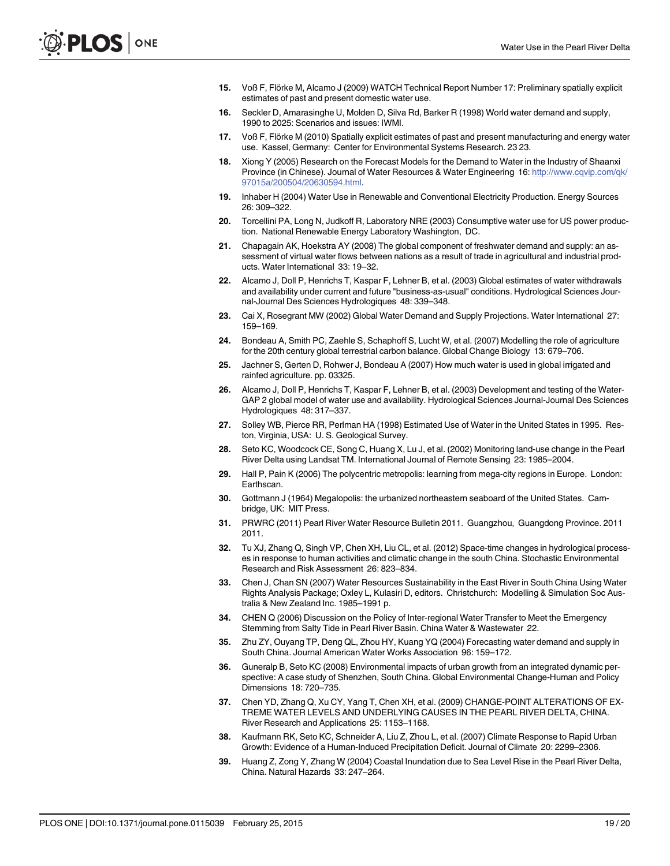- <span id="page-18-0"></span>[15.](#page-1-0) Voß F, Flörke M, Alcamo J (2009) WATCH Technical Report Number 17: Preliminary spatially explicit estimates of past and present domestic water use.
- [16.](#page-1-0) Seckler D, Amarasinghe U, Molden D, Silva Rd, Barker R (1998) World water demand and supply, 1990 to 2025: Scenarios and issues: IWMI.
- [17.](#page-15-0) Voß F, Flörke M (2010) Spatially explicit estimates of past and present manufacturing and energy water use. Kassel, Germany: Center for Environmental Systems Research. 23 23.
- [18.](#page-1-0) Xiong Y (2005) Research on the Forecast Models for the Demand to Water in the Industry of Shaanxi Province (in Chinese). Journal of Water Resources & Water Engineering 16: [http://www.cqvip.com/qk/](http://www.cqvip.com/qk/97015a/200504/20630594.html) [97015a/200504/20630594.html](http://www.cqvip.com/qk/97015a/200504/20630594.html).
- [19.](#page-1-0) Inhaber H (2004) Water Use in Renewable and Conventional Electricity Production. Energy Sources 26: 309–322.
- [20.](#page-1-0) Torcellini PA, Long N, Judkoff R, Laboratory NRE (2003) Consumptive water use for US power production. National Renewable Energy Laboratory Washington, DC.
- [21.](#page-1-0) Chapagain AK, Hoekstra AY (2008) The global component of freshwater demand and supply: an assessment of virtual water flows between nations as a result of trade in agricultural and industrial products. Water International 33: 19–32.
- [22.](#page-1-0) Alcamo J, Doll P, Henrichs T, Kaspar F, Lehner B, et al. (2003) Global estimates of water withdrawals and availability under current and future "business-as-usual" conditions. Hydrological Sciences Journal-Journal Des Sciences Hydrologiques 48: 339–348.
- [23.](#page-1-0) Cai X, Rosegrant MW (2002) Global Water Demand and Supply Projections. Water International 27: 159–169.
- [24.](#page-1-0) Bondeau A, Smith PC, Zaehle S, Schaphoff S, Lucht W, et al. (2007) Modelling the role of agriculture for the 20th century global terrestrial carbon balance. Global Change Biology 13: 679–706.
- [25.](#page-1-0) Jachner S, Gerten D, Rohwer J, Bondeau A (2007) How much water is used in global irrigated and rainfed agriculture. pp. 03325.
- [26.](#page-1-0) Alcamo J, Doll P, Henrichs T, Kaspar F, Lehner B, et al. (2003) Development and testing of the Water-GAP 2 global model of water use and availability. Hydrological Sciences Journal-Journal Des Sciences Hydrologiques 48: 317–337.
- [27.](#page-1-0) Solley WB, Pierce RR, Perlman HA (1998) Estimated Use of Water in the United States in 1995. Reston, Virginia, USA: U. S. Geological Survey.
- [28.](#page-2-0) Seto KC, Woodcock CE, Song C, Huang X, Lu J, et al. (2002) Monitoring land-use change in the Pearl River Delta using Landsat TM. International Journal of Remote Sensing 23: 1985–2004.
- [29.](#page-2-0) Hall P, Pain K (2006) The polycentric metropolis: learning from mega-city regions in Europe. London: Earthscan.
- [30.](#page-2-0) Gottmann J (1964) Megalopolis: the urbanized northeastern seaboard of the United States. Cambridge, UK: MIT Press.
- [31.](#page-2-0) PRWRC (2011) Pearl River Water Resource Bulletin 2011. Guangzhou, Guangdong Province. 2011 2011.
- [32.](#page-2-0) Tu XJ, Zhang Q, Singh VP, Chen XH, Liu CL, et al. (2012) Space-time changes in hydrological processes in response to human activities and climatic change in the south China. Stochastic Environmental Research and Risk Assessment 26: 823–834.
- 33. Chen J, Chan SN (2007) Water Resources Sustainability in the East River in South China Using Water Rights Analysis Package; Oxley L, Kulasiri D, editors. Christchurch: Modelling & Simulation Soc Australia & New Zealand Inc. 1985–1991 p.
- [34.](#page-2-0) CHEN Q (2006) Discussion on the Policy of Inter-regional Water Transfer to Meet the Emergency Stemming from Salty Tide in Pearl River Basin. China Water & Wastewater 22.
- [35.](#page-2-0) Zhu ZY, Ouyang TP, Deng QL, Zhou HY, Kuang YQ (2004) Forecasting water demand and supply in South China. Journal American Water Works Association 96: 159–172.
- [36.](#page-2-0) Guneralp B, Seto KC (2008) Environmental impacts of urban growth from an integrated dynamic perspective: A case study of Shenzhen, South China. Global Environmental Change-Human and Policy Dimensions 18: 720–735.
- [37.](#page-2-0) Chen YD, Zhang Q, Xu CY, Yang T, Chen XH, et al. (2009) CHANGE-POINT ALTERATIONS OF EX-TREME WATER LEVELS AND UNDERLYING CAUSES IN THE PEARL RIVER DELTA, CHINA. River Research and Applications 25: 1153–1168.
- [38.](#page-2-0) Kaufmann RK, Seto KC, Schneider A, Liu Z, Zhou L, et al. (2007) Climate Response to Rapid Urban Growth: Evidence of a Human-Induced Precipitation Deficit. Journal of Climate 20: 2299–2306.
- [39.](#page-2-0) Huang Z, Zong Y, Zhang W (2004) Coastal Inundation due to Sea Level Rise in the Pearl River Delta, China. Natural Hazards 33: 247–264.